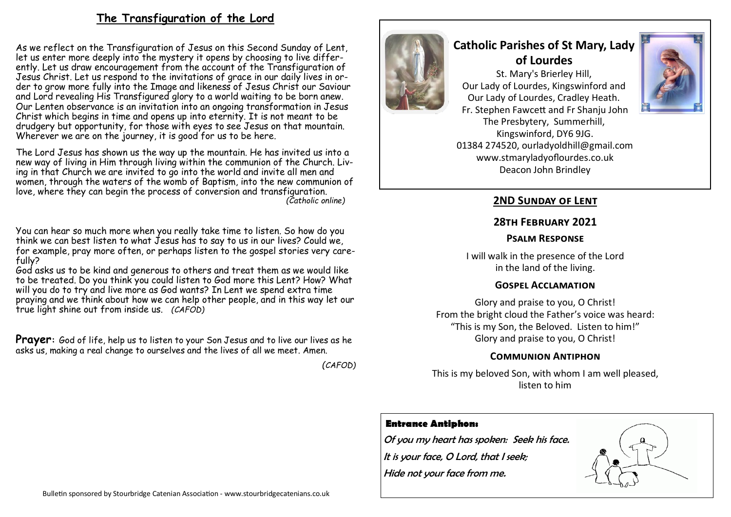# **The Transfiguration of the Lord**

As we reflect on the Transfiguration of Jesus on this Second Sunday of Lent, let us enter more deeply into the mystery it opens by choosing to live differently. Let us draw encouragement from the account of the Transfiguration of Jesus Christ. Let us respond to the invitations of grace in our daily lives in order to grow more fully into the Image and likeness of Jesus Christ our Saviour and Lord revealing His Transfigured glory to a world waiting to be born anew. Our Lenten observance is an invitation into an ongoing transformation in Jesus Christ which begins in time and opens up into eternity. It is not meant to be drudgery but opportunity, for those with eyes to see Jesus on that mountain. Wherever we are on the journey, it is good for us to be here.

The Lord Jesus has shown us the way up the mountain. He has invited us into a new way of living in Him through living within the communion of the Church. Living in that Church we are invited to go into the world and invite all men and women, through the waters of the womb of Baptism, into the new communion of love, where they can begin the process of conversion and transfiguration. *(Catholic online)*

You can hear so much more when you really take time to listen. So how do you think we can best listen to what Jesus has to say to us in our lives? Could we, for example, pray more often, or perhaps listen to the gospel stories very carefully?

God asks us to be kind and generous to others and treat them as we would like to be treated. Do you think you could listen to God more this Lent? How? What will you do to try and live more as God wants? In Lent we spend extra time praying and we think about how we can help other people, and in this way let our true light shine out from inside us. *(CAFOD)*

**Prayer:** God of life, help us to listen to your Son Jesus and to live our lives as he asks us, making a real change to ourselves and the lives of all we meet. Amen.

*(CAFOD)*



# **Catholic Parishes of St Mary, Lady of Lourdes**

St. Mary's Brierley Hill, Our Lady of Lourdes, Kingswinford and Our Lady of Lourdes, Cradley Heath. Fr. Stephen Fawcett and Fr Shanju John The Presbytery, Summerhill, Kingswinford, DY6 9JG. 01384 274520, ourladyoldhill@gmail.com www.stmaryladyoflourdes.co.uk Deacon John Brindley



# **2ND Sunday of Lent**

#### **28th February 2021**

#### **Psalm Response**

I will walk in the presence of the Lord in the land of the living.

## **Gospel Acclamation**

Glory and praise to you, O Christ! From the bright cloud the Father's voice was heard: "This is my Son, the Beloved. Listen to him!" Glory and praise to you, O Christ!

## **Communion Antiphon**

This is my beloved Son, with whom I am well pleased, listen to him

## **Entrance Antiphon:**

Of you my heart has spoken: Seek his face. It is your face, O Lord, that I seek; Hide not your face from me.